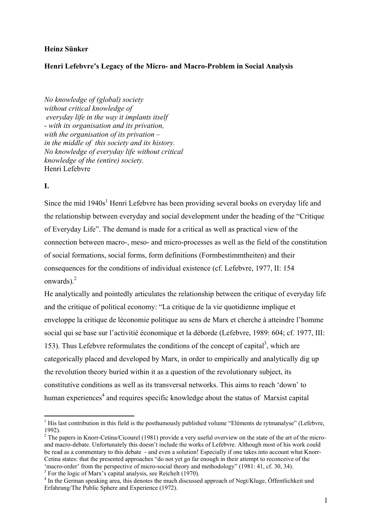### **Heinz Sünker**

## **Henri Lefebvre's Legacy of the Micro- and Macro-Problem in Social Analysis**

*No knowledge of (global) society without critical knowledge of everyday life in the way it implants itself - with its organisation and its privation, with the organisation of its privation – in the middle of this society and its history. No knowledge of everyday life without critical knowledge of the (entire) society.*  Henri Lefebvre

## **I.**

1

Since the mid 1940s<sup>1</sup> Henri Lefebvre has been providing several books on everyday life and the relationship between everyday and social development under the heading of the "Critique of Everyday Life". The demand is made for a critical as well as practical view of the connection between macro-, meso- and micro-processes as well as the field of the constitution of social formations, social forms, form definitions (Formbestimmtheiten) and their consequences for the conditions of individual existence (cf. Lefebvre, 1977, II: 154 onwards) $<sup>2</sup>$ </sup>

He analytically and pointedly articulates the relationship between the critique of everyday life and the critique of political economy: "La critique de la vie quotidienne implique et enveloppe la critique de léconomie politique au sens de Marx et cherche à atteindre l'homme social qui se base sur l'activitié économique et la déborde (Lefebvre, 1989: 604; cf. 1977, III: 153). Thus Lefebvre reformulates the conditions of the concept of capital<sup>3</sup>, which are categorically placed and developed by Marx, in order to empirically and analytically dig up the revolution theory buried within it as a question of the revolutionary subject, its constitutive conditions as well as its transversal networks. This aims to reach 'down' to human experiences<sup>4</sup> and requires specific knowledge about the status of Marxist capital

 $<sup>1</sup>$  His last contribution in this field is the posthumously published volume "Eléments de rytmanalyse" (Lefebvre,</sup> 1992).

<sup>&</sup>lt;sup>2</sup> The papers in Knorr-Cetina/Cicourel (1981) provide a very useful overview on the state of the art of the microand macro-debate. Unfortunately this doesn't include the works of Lefebvre. Although most of his work could be read as a commentary to this debate - and even a solution! Especially if one takes into account what Knorr-Cetina states: that the presented approaches "do not yet go far enough in their attempt to reconceive of the 'macro-order' from the perspective of micro-social theory and methodology" (1981: 41, cf. 30, 34).

<sup>&</sup>lt;sup>3</sup> For the logic of Marx's capital analysis, see Reichelt (1970).

<sup>&</sup>lt;sup>4</sup> In the German speaking area, this denotes the much discussed approach of Negt/Kluge, Öffentlichkeit und Erfahrung/The Public Sphere and Experience (1972).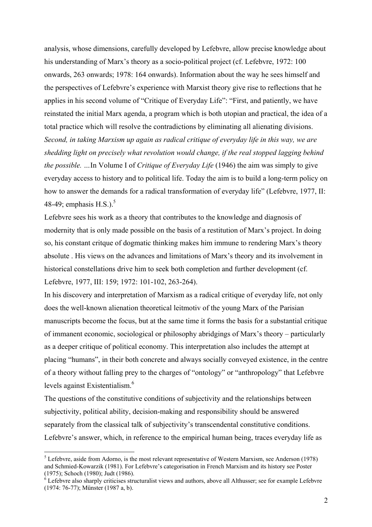analysis, whose dimensions, carefully developed by Lefebvre, allow precise knowledge about his understanding of Marx's theory as a socio-political project (cf. Lefebvre, 1972: 100 onwards, 263 onwards; 1978: 164 onwards). Information about the way he sees himself and the perspectives of Lefebvre's experience with Marxist theory give rise to reflections that he applies in his second volume of "Critique of Everyday Life": "First, and patiently, we have reinstated the initial Marx agenda, a program which is both utopian and practical, the idea of a total practice which will resolve the contradictions by eliminating all alienating divisions. *Second, in taking Marxism up again as radical critique of everyday life in this way, we are shedding light on precisely what revolution would change, if the real stopped lagging behind the possible. …*In Volume I of *Critique of Everyday Life* (1946) the aim was simply to give everyday access to history and to political life. Today the aim is to build a long-term policy on how to answer the demands for a radical transformation of everyday life" (Lefebvre, 1977, II: 48-49; emphasis H.S.).<sup>5</sup>

Lefebvre sees his work as a theory that contributes to the knowledge and diagnosis of modernity that is only made possible on the basis of a restitution of Marx's project. In doing so, his constant critque of dogmatic thinking makes him immune to rendering Marx's theory absolute . His views on the advances and limitations of Marx's theory and its involvement in historical constellations drive him to seek both completion and further development (cf. Lefebvre, 1977, III: 159; 1972: 101-102, 263-264).

In his discovery and interpretation of Marxism as a radical critique of everyday life, not only does the well-known alienation theoretical leitmotiv of the young Marx of the Parisian manuscripts become the focus, but at the same time it forms the basis for a substantial critique of immanent economic, sociological or philosophy abridgings of Marx's theory – particularly as a deeper critique of political economy. This interpretation also includes the attempt at placing "humans", in their both concrete and always socially conveyed existence, in the centre of a theory without falling prey to the charges of "ontology" or "anthropology" that Lefebvre levels against Existentialism.<sup>6</sup>

The questions of the constitutive conditions of subjectivity and the relationships between subjectivity, political ability, decision-making and responsibility should be answered separately from the classical talk of subjectivity's transcendental constitutive conditions. Lefebvre's answer, which, in reference to the empirical human being, traces everyday life as

 $<sup>5</sup>$  Lefebvre, aside from Adorno, is the most relevant representative of Western Marxism, see Anderson (1978)</sup> and Schmied-Kowarzik (1981). For Lefebvre's categorisation in French Marxism and its history see Poster (1975); Schoch (1980); Judt (1986).

 $6$  Lefebvre also sharply criticises structuralist views and authors, above all Althusser; see for example Lefebvre (1974: 76-77); Münster (1987 a, b).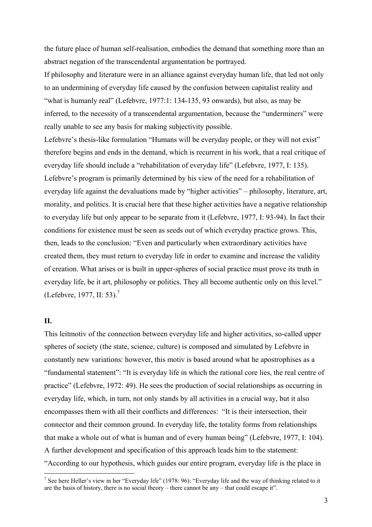the future place of human self-realisation, embodies the demand that something more than an abstract negation of the transcendental argumentation be portrayed.

If philosophy and literature were in an alliance against everyday human life, that led not only to an undermining of everyday life caused by the confusion between capitalist reality and "what is humanly real" (Lefebvre, 1977:1: 134-135, 93 onwards), but also, as may be inferred, to the necessity of a transcendental argumentation, because the "underminers" were really unable to see any basis for making subjectivity possible.

Lefebvre's thesis-like formulation "Humans will be everyday people, or they will not exist" therefore begins and ends in the demand, which is recurrent in his work, that a real critique of everyday life should include a "rehabilitation of everyday life" (Lefebvre, 1977, I: 135). Lefebvre's program is primarily determined by his view of the need for a rehabilitation of everyday life against the devaluations made by "higher activities" – philosophy, literature, art, morality, and politics. It is crucial here that these higher activities have a negative relationship to everyday life but only appear to be separate from it (Lefebvre, 1977, I: 93-94). In fact their conditions for existence must be seen as seeds out of which everyday practice grows. This, then, leads to the conclusion: "Even and particularly when extraordinary activities have created them, they must return to everyday life in order to examine and increase the validity of creation. What arises or is built in upper-spheres of social practice must prove its truth in everyday life, be it art, philosophy or politics. They all become authentic only on this level." (Lefebvre, 1977, II: 53).<sup>7</sup>

### **II.**

1

This leitmotiv of the connection between everyday life and higher activities, so-called upper spheres of society (the state, science, culture) is composed and simulated by Lefebvre in constantly new variations: however, this motiv is based around what he apostrophises as a "fundamental statement": "It is everyday life in which the rational core lies, the real centre of practice" (Lefebvre, 1972: 49). He sees the production of social relationships as occurring in everyday life, which, in turn, not only stands by all activities in a crucial way, but it also encompasses them with all their conflicts and differences: "It is their intersection, their connector and their common ground. In everyday life, the totality forms from relationships that make a whole out of what is human and of every human being" (Lefebvre, 1977, I: 104). A further development and specification of this approach leads him to the statement: "According to our hypothesis, which guides our entire program, everyday life is the place in

<sup>&</sup>lt;sup>7</sup> See here Heller's view in her "Everyday life" (1978: 96): "Everyday life and the way of thinking related to it are the basis of history, there is no social theory – there cannot be any – that could escape it".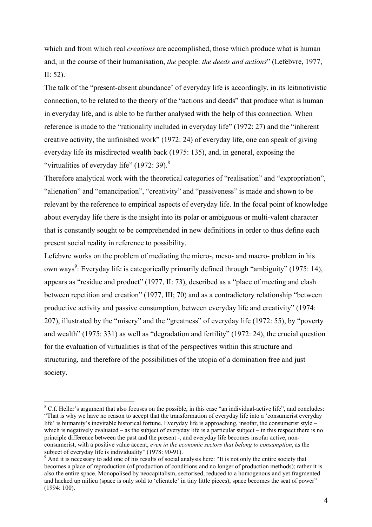which and from which real *creations* are accomplished, those which produce what is human and, in the course of their humanisation, *the* people: *the deeds and actions*" (Lefebvre, 1977, II: 52).

The talk of the "present-absent abundance' of everyday life is accordingly, in its leitmotivistic connection, to be related to the theory of the "actions and deeds" that produce what is human in everyday life, and is able to be further analysed with the help of this connection. When reference is made to the "rationality included in everyday life" (1972: 27) and the "inherent creative activity, the unfinished work" (1972: 24) of everyday life, one can speak of giving everyday life its misdirected wealth back (1975: 135), and, in general, exposing the "virtualities of everyday life"  $(1972: 39)$ .<sup>8</sup>

Therefore analytical work with the theoretical categories of "realisation" and "expropriation", "alienation" and "emancipation", "creativity" and "passiveness" is made and shown to be relevant by the reference to empirical aspects of everyday life. In the focal point of knowledge about everyday life there is the insight into its polar or ambiguous or multi-valent character that is constantly sought to be comprehended in new definitions in order to thus define each present social reality in reference to possibility.

Lefebvre works on the problem of mediating the micro-, meso- and macro- problem in his own ways<sup>9</sup>: Everyday life is categorically primarily defined through "ambiguity" (1975: 14), appears as "residue and product" (1977, II: 73), described as a "place of meeting and clash between repetition and creation" (1977, III; 70) and as a contradictory relationship "between productive activity and passive consumption, between everyday life and creativity" (1974: 207), illustrated by the "misery" and the "greatness" of everyday life (1972: 55), by "poverty and wealth" (1975: 331) as well as "degradation and fertility" (1972: 24), the crucial question for the evaluation of virtualities is that of the perspectives within this structure and structuring, and therefore of the possibilities of the utopia of a domination free and just society.

<sup>&</sup>lt;sup>8</sup> C.f. Heller's argument that also focuses on the possible, in this case "an individual-active life", and concludes: "That is why we have no reason to accept that the transformation of everyday life into a 'consumerist everyday life' is humanity's inevitable historical fortune. Everyday life is approaching, insofar, the consumerist style – which is negatively evaluated – as the subject of everyday life is a particular subject – in this respect there is no principle difference between the past and the present -, and everyday life becomes insofar active, nonconsumerist, with a positive value accent, *even in the economic sectors that belong to consumption*, as the subject of everyday life is individuality" (1978: 90-91).

<sup>&</sup>lt;sup>9</sup> And it is necessary to add one of his results of social analysis here: "It is not only the entire society that becomes a place of reproduction (of production of conditions and no longer of production methods); rather it is also the entire space. Monopolised by neocapitalism, sectorised, reduced to a homogenous and yet fragmented and hacked up milieu (space is only sold to 'clientele' in tiny little pieces), space becomes the seat of power" (1994: 100).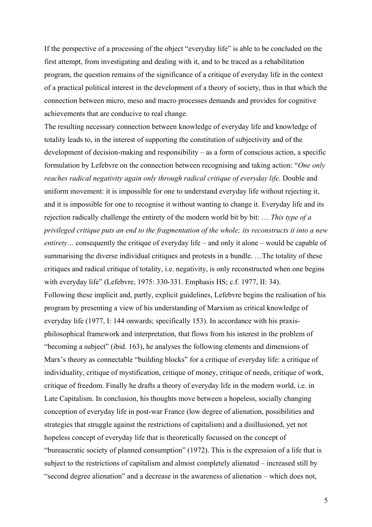If the perspective of a processing of the object "everyday life" is able to be concluded on the first attempt, from investigating and dealing with it, and to be traced as a rehabilitation program, the question remains of the significance of a critique of everyday life in the context of a practical political interest in the development of a theory of society, thus in that which the connection between micro, meso and macro processes demands and provides for cognitive achievements that are conducive to real change.

The resulting necessary connection between knowledge of everyday life and knowledge of totality leads to, in the interest of supporting the constitution of subjectivity and of the development of decision-making and responsibility – as a form of conscious action, a specific formulation by Lefebvre on the connection between recognising and taking action: "*One only reaches radical negativity again only through radical critique of everyday life*. Double and uniform movement: it is impossible for one to understand everyday life without rejecting it, and it is impossible for one to recognise it without wanting to change it. Everyday life and its rejection radically challenge the entirety of the modern world bit by bit: … *This type of a privileged critique puts an end to the fragmentation of the whole; its reconstructs it into a new entirety*... consequently the critique of everyday life – and only it alone – would be capable of summarising the diverse individual critiques and protests in a bundle. …The totality of these critiques and radical critique of totality, i.e. negativity, is only reconstructed when one begins with everyday life" (Lefebvre, 1975: 330-331. Emphasis HS; c.f. 1977, II: 34). Following these implicit and, partly, explicit guidelines, Lefebvre begins the realisation of his program by presenting a view of his understanding of Marxism as critical knowledge of everyday life (1977, I: 144 onwards; specifically 153). In accordance with his praxisphilosophical framework and interpretation, that flows from his interest in the problem of "becoming a subject" (ibid. 163), he analyses the following elements and dimensions of Marx's theory as connectable "building blocks" for a critique of everyday life: a critique of individuality, critique of mystification, critique of money, critique of needs, critique of work, critique of freedom. Finally he drafts a theory of everyday life in the modern world, i.e. in Late Capitalism. In conclusion, his thoughts move between a hopeless, socially changing conception of everyday life in post-war France (low degree of alienation, possibilities and strategies that struggle against the restrictions of capitalism) and a disillusioned, yet not hopeless concept of everyday life that is theoretically focussed on the concept of "bureaucratic society of planned consumption" (1972). This is the expression of a life that is subject to the restrictions of capitalism and almost completely alienated – increased still by "second degree alienation" and a decrease in the awareness of alienation – which does not,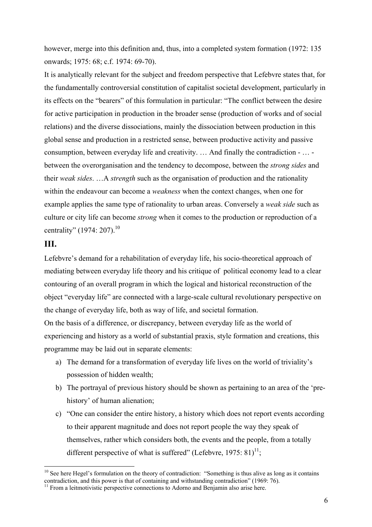however, merge into this definition and, thus, into a completed system formation (1972: 135) onwards; 1975: 68; c.f. 1974: 69-70).

It is analytically relevant for the subject and freedom perspective that Lefebvre states that, for the fundamentally controversial constitution of capitalist societal development, particularly in its effects on the "bearers" of this formulation in particular: "The conflict between the desire for active participation in production in the broader sense (production of works and of social relations) and the diverse dissociations, mainly the dissociation between production in this global sense and production in a restricted sense, between productive activity and passive consumption, between everyday life and creativity. … And finally the contradiction - … between the overorganisation and the tendency to decompose, between the *strong sides* and their *weak sides*. …A *strength* such as the organisation of production and the rationality within the endeavour can become a *weakness* when the context changes, when one for example applies the same type of rationality to urban areas. Conversely a *weak side* such as culture or city life can become *strong* when it comes to the production or reproduction of a centrality" (1974: 207).<sup>10</sup>

# **III.**

1

Lefebvre's demand for a rehabilitation of everyday life, his socio-theoretical approach of mediating between everyday life theory and his critique of political economy lead to a clear contouring of an overall program in which the logical and historical reconstruction of the object "everyday life" are connected with a large-scale cultural revolutionary perspective on the change of everyday life, both as way of life, and societal formation.

On the basis of a difference, or discrepancy, between everyday life as the world of experiencing and history as a world of substantial praxis, style formation and creations, this programme may be laid out in separate elements:

- a) The demand for a transformation of everyday life lives on the world of triviality's possession of hidden wealth;
- b) The portrayal of previous history should be shown as pertaining to an area of the 'prehistory' of human alienation;
- c) "One can consider the entire history, a history which does not report events according to their apparent magnitude and does not report people the way they speak of themselves, rather which considers both, the events and the people, from a totally different perspective of what is suffered" (Lefebvre, 1975:  $81$ )<sup>11</sup>;

 $10$  See here Hegel's formulation on the theory of contradiction: "Something is thus alive as long as it contains contradiction, and this power is that of containing and withstanding contradiction" (1969: 76).

<sup>&</sup>lt;sup>11</sup> From a leitmotivistic perspective connections to Adorno and Benjamin also arise here.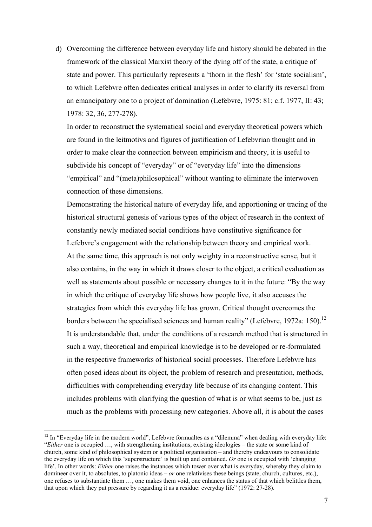d) Overcoming the difference between everyday life and history should be debated in the framework of the classical Marxist theory of the dying off of the state, a critique of state and power. This particularly represents a 'thorn in the flesh' for 'state socialism', to which Lefebvre often dedicates critical analyses in order to clarify its reversal from an emancipatory one to a project of domination (Lefebvre, 1975: 81; c.f. 1977, II: 43; 1978: 32, 36, 277-278).

In order to reconstruct the systematical social and everyday theoretical powers which are found in the leitmotivs and figures of justification of Lefebvrian thought and in order to make clear the connection between empiricism and theory, it is useful to subdivide his concept of "everyday" or of "everyday life" into the dimensions "empirical" and "(meta)philosophical" without wanting to eliminate the interwoven connection of these dimensions.

Demonstrating the historical nature of everyday life, and apportioning or tracing of the historical structural genesis of various types of the object of research in the context of constantly newly mediated social conditions have constitutive significance for Lefebvre's engagement with the relationship between theory and empirical work. At the same time, this approach is not only weighty in a reconstructive sense, but it also contains, in the way in which it draws closer to the object, a critical evaluation as well as statements about possible or necessary changes to it in the future: "By the way in which the critique of everyday life shows how people live, it also accuses the strategies from which this everyday life has grown. Critical thought overcomes the borders between the specialised sciences and human reality" (Lefebvre, 1972a: 150).<sup>12</sup> It is understandable that, under the conditions of a research method that is structured in such a way, theoretical and empirical knowledge is to be developed or re-formulated in the respective frameworks of historical social processes. Therefore Lefebvre has often posed ideas about its object, the problem of research and presentation, methods, difficulties with comprehending everyday life because of its changing content. This includes problems with clarifying the question of what is or what seems to be, just as much as the problems with processing new categories. Above all, it is about the cases

<sup>&</sup>lt;sup>12</sup> In "Everyday life in the modern world". Lefebvre formualtes as a "dilemma" when dealing with everyday life: "*Either* one is occupied …, with strengthening institutions, existing ideologies – the state or some kind of church, some kind of philosophical system or a political organisation – and thereby endeavours to consolidate the everyday life on which this 'superstructure' is built up and contained. *Or* one is occupied with 'changing life'. In other words: *Either* one raises the instances which tower over what is everyday, whereby they claim to domineer over it, to absolutes, to platonic ideas – *or* one relativises these beings (state, church, cultures, etc.), one refuses to substantiate them …, one makes them void, one enhances the status of that which belittles them, that upon which they put pressure by regarding it as a residue: everyday life" (1972: 27-28).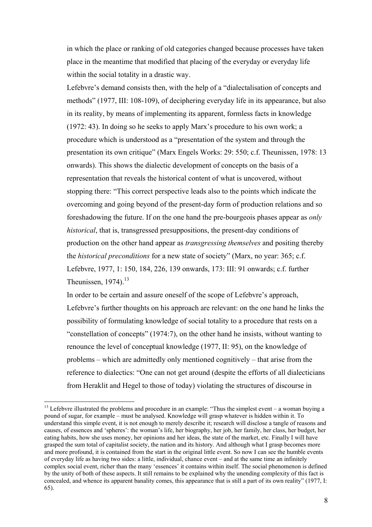in which the place or ranking of old categories changed because processes have taken place in the meantime that modified that placing of the everyday or everyday life within the social totality in a drastic way.

Lefebvre's demand consists then, with the help of a "dialectalisation of concepts and methods" (1977, III: 108-109), of deciphering everyday life in its appearance, but also in its reality, by means of implementing its apparent, formless facts in knowledge (1972: 43). In doing so he seeks to apply Marx's procedure to his own work; a procedure which is understood as a "presentation of the system and through the presentation its own critique" (Marx Engels Works: 29: 550; c.f. Theunissen, 1978: 13 onwards). This shows the dialectic development of concepts on the basis of a representation that reveals the historical content of what is uncovered, without stopping there: "This correct perspective leads also to the points which indicate the overcoming and going beyond of the present-day form of production relations and so foreshadowing the future. If on the one hand the pre-bourgeois phases appear as *only historical*, that is, transgressed presuppositions, the present-day conditions of production on the other hand appear as *transgressing themselves* and positing thereby the *historical preconditions* for a new state of society" (Marx, no year: 365; c.f. Lefebvre, 1977, 1: 150, 184, 226, 139 onwards, 173: III: 91 onwards; c.f. further Theunissen,  $1974$ ).<sup>13</sup>

In order to be certain and assure oneself of the scope of Lefebvre's approach, Lefebvre's further thoughts on his approach are relevant: on the one hand he links the possibility of formulating knowledge of social totality to a procedure that rests on a "constellation of concepts" (1974:7), on the other hand he insists, without wanting to renounce the level of conceptual knowledge (1977, II: 95), on the knowledge of problems – which are admittedly only mentioned cognitively – that arise from the reference to dialectics: "One can not get around (despite the efforts of all dialecticians from Heraklit and Hegel to those of today) violating the structures of discourse in

 $13$  Lefebvre illustrated the problems and procedure in an example: "Thus the simplest event – a woman buying a pound of sugar, for example – must be analysed. Knowledge will grasp whatever is hidden within it. To understand this simple event, it is not enough to merely describe it; research will disclose a tangle of reasons and causes, of essences and 'spheres': the woman's life, her biography, her job, her family, her class, her budget, her eating habits, how she uses money, her opinions and her ideas, the state of the market, etc. Finally I will have grasped the sum total of capitalist society, the nation and its history. And although what I grasp becomes more and more profound, it is contained from the start in the original little event. So now I can see the humble events of everyday life as having two sides: a little, individual, chance event – and at the same time an infinitely complex social event, richer than the many 'essences' it contains within itself. The social phenomenon is defined by the unity of both of these aspects. It still remains to be explained why the unending complexity of this fact is concealed, and whence its apparent banality comes, this appearance that is still a part of its own reality" (1977, I: 65).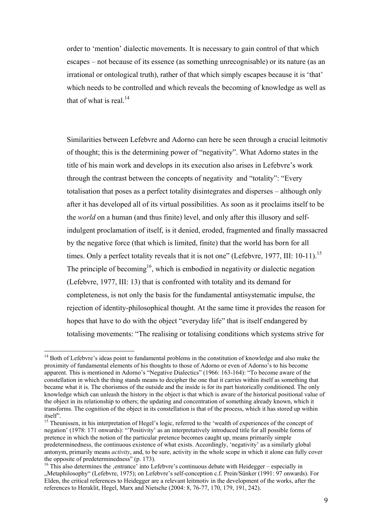order to 'mention' dialectic movements. It is necessary to gain control of that which escapes – not because of its essence (as something unrecognisable) or its nature (as an irrational or ontological truth), rather of that which simply escapes because it is 'that' which needs to be controlled and which reveals the becoming of knowledge as well as that of what is real. $^{14}$ 

Similarities between Lefebvre and Adorno can here be seen through a crucial leitmotiv of thought; this is the determining power of "negativity". What Adorno states in the title of his main work and develops in its execution also arises in Lefebvre's work through the contrast between the concepts of negativity and "totality": "Every totalisation that poses as a perfect totality disintegrates and disperses – although only after it has developed all of its virtual possibilities. As soon as it proclaims itself to be the *world* on a human (and thus finite) level, and only after this illusory and selfindulgent proclamation of itself, is it denied, eroded, fragmented and finally massacred by the negative force (that which is limited, finite) that the world has born for all times. Only a perfect totality reveals that it is not one" (Lefebvre, 1977, III: 10-11).<sup>15</sup> The principle of becoming<sup>16</sup>, which is embodied in negativity or dialectic negation (Lefebvre, 1977, III: 13) that is confronted with totality and its demand for completeness, is not only the basis for the fundamental antisystematic impulse, the rejection of identity-philosophical thought. At the same time it provides the reason for hopes that have to do with the object "everyday life" that is itself endangered by totalising movements: "The realising or totalising conditions which systems strive for

<sup>&</sup>lt;sup>14</sup> Both of Lefebvre's ideas point to fundamental problems in the constitution of knowledge and also make the proximity of fundamental elements of his thoughts to those of Adorno or even of Adorno's to his become apparent. This is mentioned in Adorno's "Negative Dialectics" (1966: 163-164): "To become aware of the constellation in which the thing stands means to decipher the one that it carries within itself as something that became what it is. The chorismos of the outside and the inside is for its part historically conditioned. The only knowledge which can unleash the history in the object is that which is aware of the historical positional value of the object in its relationship to others; the updating and concentration of something already known, which it transforms. The cognition of the object in its constellation is that of the process, which it has stored up within itself".

<sup>&</sup>lt;sup>15</sup> Theunissen, in his interpretation of Hegel's logic, referred to the 'wealth of experiences of the concept of negation' (1978: 171 onwards): "'Positivity' as an interpretatively introduced title for all possible forms of pretence in which the notion of the particular pretence becomes caught up, means primarily simple predeterminedness, the continuous existence of what exists. Accordingly, 'negativity' as a similarly global antonym, primarily means *activity*, and, to be sure, activity in the whole scope in which it alone can fully cover the opposite of predeterminedness" (p. 173).

 $16$  This also determines the entrance into Lefebvre's continuous debate with Heidegger – especially in "Metaphilosophy" (Lefebvre, 1975); on Lefebvre's self-conception c.f. Prein/Sünker (1991: 97 onwards). For Elden, the critical references to Heidegger are a relevant leitmotiv in the development of the works, after the references to Heraklit, Hegel, Marx and Nietsche (2004: 8, 76-77, 170, 179, 191, 242).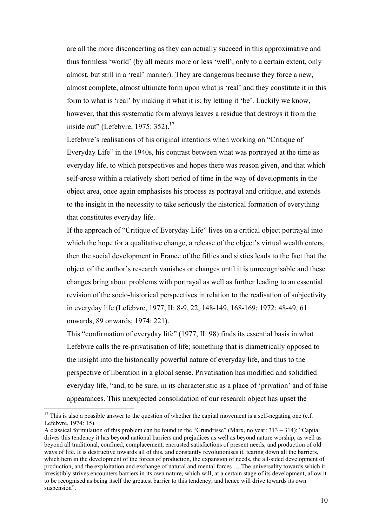are all the more disconcerting as they can actually succeed in this approximative and thus formless 'world' (by all means more or less 'well', only to a certain extent, only almost, but still in a 'real' manner). They are dangerous because they force a new, almost complete, almost ultimate form upon what is 'real' and they constitute it in this form to what is 'real' by making it what it is; by letting it 'be'. Luckily we know, however, that this systematic form always leaves a residue that destroys it from the inside out" (Lefebvre, 1975:  $352$ ).<sup>17</sup>

Lefebvre's realisations of his original intentions when working on "Critique of Everyday Life" in the 1940s, his contrast between what was portrayed at the time as everyday life, to which perspectives and hopes there was reason given, and that which self-arose within a relatively short period of time in the way of developments in the object area, once again emphasises his process as portrayal and critique, and extends to the insight in the necessity to take seriously the historical formation of everything that constitutes everyday life.

If the approach of "Critique of Everyday Life" lives on a critical object portrayal into which the hope for a qualitative change, a release of the object's virtual wealth enters, then the social development in France of the fifties and sixties leads to the fact that the object of the author's research vanishes or changes until it is unrecognisable and these changes bring about problems with portrayal as well as further leading to an essential revision of the socio-historical perspectives in relation to the realisation of subjectivity in everyday life (Lefebvre, 1977, II: 8-9, 22, 148-149, 168-169; 1972: 48-49, 61 onwards, 89 onwards; 1974: 221).

This "confirmation of everyday life" (1977, II: 98) finds its essential basis in what Lefebvre calls the re-privatisation of life; something that is diametrically opposed to the insight into the historically powerful nature of everyday life, and thus to the perspective of liberation in a global sense. Privatisation has modified and solidified everyday life, "and, to be sure, in its characteristic as a place of 'privation' and of false appearances. This unexpected consolidation of our research object has upset the

<u>.</u>

 $17$  This is also a possible answer to the question of whether the capital movement is a self-negating one (c.f. Lefebvre, 1974: 15).

A classical formulation of this problem can be found in the "Grundrisse" (Marx, no year: 313 – 314): "Capital drives this tendency it has beyond national barriers and prejudices as well as beyond nature worship, as well as beyond all traditional, confined, complacement, encrusted satisfactions of present needs, and production of old ways of life. It is destructive towards all of this, and constantly revolutionises it, tearing down all the barriers, which hem in the development of the forces of production, the expansion of needs, the all-sided development of production, and the exploitation and exchange of natural and mental forces … The universality towards which it irresistibly strives encounters barriers in its own nature, which will, at a certain stage of its development, allow it to be recognised as being itself the greatest barrier to this tendency, and hence will drive towards its own suspension".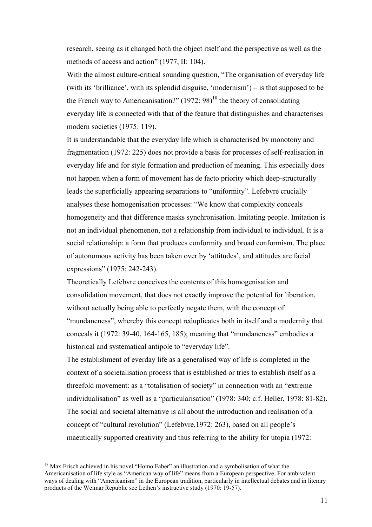research, seeing as it changed both the object itself and the perspective as well as the methods of access and action" (1977, II: 104).

With the almost culture-critical sounding question, "The organisation of everyday life (with its 'brilliance', with its splendid disguise, 'modernism') – is that supposed to be the French way to Americanisation?"  $(1972: 98)^{18}$  the theory of consolidating everyday life is connected with that of the feature that distinguishes and characterises modern societies (1975: 119).

It is understandable that the everyday life which is characterised by monotony and fragmentation (1972: 225) does not provide a basis for processes of self-realisation in everyday life and for style formation and production of meaning. This especially does not happen when a form of movement has de facto priority which deep-structurally leads the superficially appearing separations to "uniformity". Lefebvre crucially analyses these homogenisation processes: "We know that complexity conceals homogeneity and that difference masks synchronisation. Imitating people. Imitation is not an individual phenomenon, not a relationship from individual to individual. It is a social relationship: a form that produces conformity and broad conformism. The place of autonomous activity has been taken over by 'attitudes', and attitudes are facial expressions" (1975: 242-243).

Theoretically Lefebvre conceives the contents of this homogenisation and consolidation movement, that does not exactly improve the potential for liberation, without actually being able to perfectly negate them, with the concept of "mundaneness", whereby this concept reduplicates both in itself and a modernity that conceals it (1972: 39-40, 164-165, 185); meaning that "mundaneness" embodies a historical and systematical antipole to "everyday life".

The establishment of everday life as a generalised way of life is completed in the context of a societalisation process that is established or tries to establish itself as a threefold movement: as a "totalisation of society" in connection with an "extreme individualisation" as well as a "particularisation" (1978: 340; c.f. Heller, 1978: 81-82). The social and societal alternative is all about the introduction and realisation of a concept of "cultural revolution" (Lefebvre,1972: 263), based on all people's maeutically supported creativity and thus referring to the ability for utopia (1972:

<sup>&</sup>lt;sup>18</sup> Max Frisch achieved in his novel "Homo Faber" an illustration and a symbolisation of what the Americanisation of life style as "American way of life" means from a European perspective. For ambivalent ways of dealing with "Americanism" in the European tradition, particularly in intellectual debates and in literary products of the Weimar Republic see Lethen's instructive study (1970: 19-57).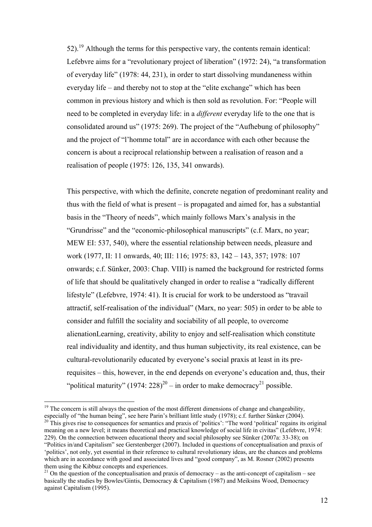$52$ ).<sup>19</sup> Although the terms for this perspective vary, the contents remain identical: Lefebvre aims for a "revolutionary project of liberation" (1972: 24), "a transformation of everyday life" (1978: 44, 231), in order to start dissolving mundaneness within everyday life – and thereby not to stop at the "elite exchange" which has been common in previous history and which is then sold as revolution. For: "People will need to be completed in everyday life: in a *different* everyday life to the one that is consolidated around us" (1975: 269). The project of the "Aufhebung of philosophy" and the project of "l'homme total" are in accordance with each other because the concern is about a reciprocal relationship between a realisation of reason and a realisation of people (1975: 126, 135, 341 onwards).

This perspective, with which the definite, concrete negation of predominant reality and thus with the field of what is present – is propagated and aimed for, has a substantial basis in the "Theory of needs", which mainly follows Marx's analysis in the "Grundrisse" and the "economic-philosophical manuscripts" (c.f. Marx, no year; MEW EI: 537, 540), where the essential relationship between needs, pleasure and work (1977, II: 11 onwards, 40; III: 116; 1975: 83, 142 – 143, 357; 1978: 107 onwards; c.f. Sünker, 2003: Chap. VIII) is named the background for restricted forms of life that should be qualitatively changed in order to realise a "radically different lifestyle" (Lefebvre, 1974: 41). It is crucial for work to be understood as "travail attractif, self-realisation of the individual" (Marx, no year: 505) in order to be able to consider and fulfill the sociality and sociability of all people, to overcome alienationLearning, creativity, ability to enjoy and self-realisation which constitute real individuality and identity, and thus human subjectivity, its real existence, can be cultural-revolutionarily educated by everyone's social praxis at least in its prerequisites – this, however, in the end depends on everyone's education and, thus, their "political maturity"  $(1974: 228)^{20}$  – in order to make democracy<sup>21</sup> possible.

<sup>1</sup>  $19$  The concern is still always the question of the most different dimensions of change and changeability, especially of "the human being", see here Parin's brilliant little study (1978); c.f. further Sünker (2004).

<sup>&</sup>lt;sup>20</sup> This gives rise to consequences for semantics and praxis of 'politics': "The word 'political' regains its original meaning on a new level; it means theoretical and practical knowledge of social life in civitas" (Lefebvre, 1974: 229). On the connection between educational theory and social philosophy see Sünker (2007a: 33-38); on "Politics in/and Capitalism" see Gerstenberger (2007). Included in questions of conceptualisation and praxis of 'politics', not only, yet essential in their reference to cultural revolutionary ideas, are the chances and problems which are in accordance with good and associated lives and "good company", as M. Rosner (2002) presents them using the Kibbuz concepts and experiences.

<sup>&</sup>lt;sup>21</sup> On the question of the conceptualisation and praxis of democracy – as the anti-concept of capitalism – see basically the studies by Bowles/Gintis, Democracy & Capitalism (1987) and Meiksins Wood, Democracy against Capitalism (1995).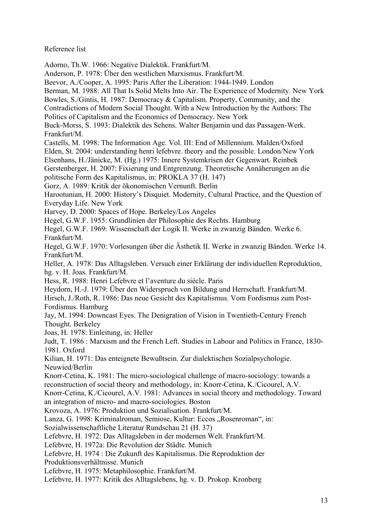Reference list

Adorno, Th.W. 1966: Negative Dialektik. Frankfurt/M. Anderson, P. 1978: Über den westlichen Marxismus. Frankfurt/M. Beevor, A./Cooper, A. 1995: Paris After the Liberation: 1944-1949. London Berman, M. 1988: All That Is Solid Melts Into Air. The Experience of Modernity. New York Bowles, S./Gintis, H. 1987: Democracy & Capitalism. Property, Community, and the Contradictions of Modern Social Thought. With a New Introduction by the Authors: The Politics of Capitalism and the Economics of Democracy. New York Buck-Morss, S. 1993: Dialektik des Sehens. Walter Benjamin und das Passagen-Werk. Frankfurt/M. Castells, M. 1998: The Information Age. Vol. III: End of Millennium. Malden/Oxford Elden, St. 2004: understanding henri lefebvre. theory and the possible. London/New York Elsenhans, H./Jänicke, M. (Hg.) 1975: Innere Systemkrisen der Gegenwart. Reinbek Gerstenberger, H. 2007: Fixierung und Entgrenzung. Theoretische Annäherungen an die politische Form des Kapitalismus, in: PROKLA 37 (H. 147) Gorz, A. 1989: Kritik der ökonomischen Vernunft. Berlin Harootunian, H. 2000: History's Disquiet. Modernity, Cultural Practice, and the Question of Everyday Life. New York Harvey, D. 2000: Spaces of Hope. Berkeley/Los Angeles Hegel, G.W.F. 1955: Grundlinien der Philosophie des Rechts. Hamburg Hegel, G.W.F. 1969: Wissenschaft der Logik II. Werke in zwanzig Bänden. Werke 6. Frankfurt/M. Hegel, G.W.F. 1970: Vorlesungen über die Ästhetik II. Werke in zwanzig Bänden. Werke 14. Frankfurt/M. Heller, A. 1978: Das Alltagsleben. Versuch einer Erklärung der individuellen Reproduktion, hg. v. H. Joas. Frankfurt/M. Hess, R. 1988: Henri Lefebvre et l'aventure du siècle. Paris Heydorn, H.-J. 1979: Über den Widerspruch von Bildung und Herrschaft. Frankfurt/M. Hirsch, J./Roth, R. 1986: Das neue Gesicht des Kapitalismus. Vom Fordismus zum Post-Fordismus. Hamburg Jay, M. 1994: Downcast Eyes. The Denigration of Vision in Twentieth-Century French Thought. Berkeley Joas, H. 1978: Einleitung, in: Heller Judt, T. 1986 : Marxism and the French Left. Studies in Labour and Politics in France, 1830- 1981. Oxford Kilian, H. 1971: Das enteignete Bewußtsein. Zur dialektischen Sozialpsychologie. Neuwied/Berlin Knorr-Cetina, K. 1981: The micro-sociological challenge of macro-sociology: towards a reconstruction of social theory and methodology, in: Knorr-Cetina, K./Cicourel, A.V. Knorr-Cetina, K./Cicourel, A.V. 1981: Advances in social theory and methodology. Toward an integration of micro- and macro-sociologies. Boston Krovoza, A. 1976: Produktion und Sozialisation. Frankfurt/M. Lanza, G. 1998: Kriminalroman, Semiose, Kultur: Eccos "Rosenroman", in: Sozialwissenschaftliche Literatur Rundschau 21 (H. 37) Lefebvre, H. 1972: Das Alltagsleben in der modernen Welt. Frankfurt/M. Lefebvre, H. 1972a: Die Revolution der Städte. Munich Lefebvre, H. 1974 : Die Zukunft des Kapitalismus. Die Reproduktion der Produktionsverhältnisse. Munich Lefebvre, H. 1975: Metaphilosophie. Frankfurt/M. Lefebvre, H. 1977: Kritik des Alltagslebens, hg. v. D. Prokop. Kronberg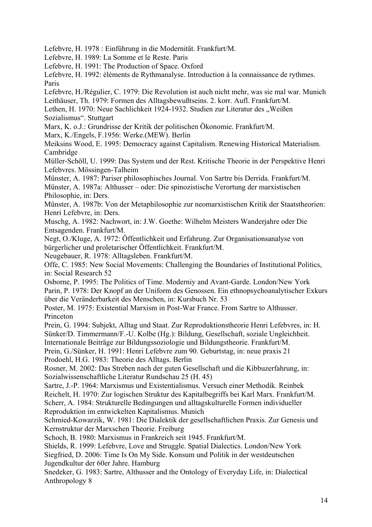Lefebvre, H. 1978 : Einführung in die Modernität. Frankfurt/M.

Lefebvre, H. 1989: La Somme et le Reste. Paris

Lefebvre, H. 1991: The Production of Space. Oxford

Lefebvre, H. 1992: éléments de Rythmanalyse. Introduction à la connaissance de rythmes. Paris

Lefebvre, H./Régulier, C. 1979: Die Revolution ist auch nicht mehr, was sie mal war. Munich Leithäuser, Th. 1979: Formen des Alltagsbewußtseins. 2. korr. Aufl. Frankfurt/M.

Lethen, H. 1970: Neue Sachlichkeit 1924-1932. Studien zur Literatur des "Weißen Sozialismus". Stuttgart

Marx, K. o.J.: Grundrisse der Kritik der politischen Ökonomie. Frankfurt/M.

Marx, K./Engels, F.1956: Werke.(MEW). Berlin

Meiksins Wood, E. 1995: Democracy against Capitalism. Renewing Historical Materialism. Cambridge

Müller-Schöll, U. 1999: Das System und der Rest. Kritische Theorie in der Perspektive Henri Lefebvres. Mössingen-Talheim

Münster, A. 1987: Pariser philosophisches Journal. Von Sartre bis Derrida. Frankfurt/M.

Münster, A. 1987a: Althusser – oder: Die spinozistische Verortung der marxistischen Philosophie, in: Ders.

Münster, A. 1987b: Von der Metaphilosophie zur neomarxistischen Kritik der Staatstheorien: Henri Lefebvre, in: Ders.

Muschg, A. 1982: Nachwort, in: J.W. Goethe: Wilhelm Meisters Wanderjahre oder Die Entsagenden. Frankfurt/M.

Negt, O./Kluge, A. 1972: Öffentlichkeit und Erfahrung. Zur Organisationsanalyse von bürgerlicher und proletarischer Öffentlichkeit. Frankfurt/M.

Neugebauer, R. 1978: Alltagsleben. Frankfurt/M.

Offe, C. 1985: New Social Movements: Challenging the Boundaries of Institutional Politics, in: Social Research 52

Osborne, P. 1995: The Politics of Time. Moderniy and Avant-Garde. London/New York Parin, P. 1978: Der Knopf an der Uniform des Genossen. Ein ethnopsychoanalytischer Exkurs über die Veränderbarkeit des Menschen, in: Kursbuch Nr. 53

Poster, M. 1975: Existential Marxism in Post-War France. From Sartre to Althusser. Princeton

Prein, G. 1994: Subjekt, Alltag und Staat. Zur Reproduktionstheorie Henri Lefebvres, in: H. Sünker/D. Timmermann/F.-U. Kolbe (Hg.): Bildung, Gesellschaft, soziale Ungleichheit.

Internationale Beiträge zur Bildungssoziologie und Bildungstheorie. Frankfurt/M.

Prein, G./Sünker, H. 1991: Henri Lefebvre zum 90. Geburtstag, in: neue praxis 21 Prodoehl, H.G. 1983: Theorie des Alltags. Berlin

Rosner, M. 2002: Das Streben nach der guten Gesellschaft und die Kibbuzerfahrung, in: Sozialwissenschaftliche Literatur Rundschau 25 (H. 45)

Sartre, J.-P. 1964: Marxismus und Existentialismus. Versuch einer Methodik. Reinbek Reichelt, H. 1970: Zur logischen Struktur des Kapitalbegriffs bei Karl Marx. Frankfurt/M. Scherr, A. 1984: Strukturelle Bedingungen und alltagskulturelle Formen individueller Reproduktion im entwickelten Kapitalismus. Munich

Schmied-Kowarzik, W. 1981: Die Dialektik der gesellschaftlichen Praxis. Zur Genesis und Kernstruktur der Marxschen Theorie. Freiburg

Schoch, B. 1980: Marxismus in Frankreich seit 1945. Frankfurt/M.

Shields, R. 1999: Lefebvre, Love and Struggle. Spatial Dialectics. London/New York

Siegfried, D. 2006: Time Is On My Side. Konsum und Politik in der westdeutschen Jugendkultur der 60er Jahre. Hamburg

Snedeker, G. 1983: Sartre, Althusser and the Ontology of Everyday Life, in: Dialectical Anthropology 8